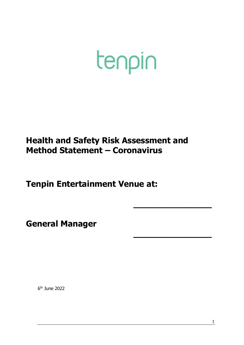# tenpin

# **Health and Safety Risk Assessment and Method Statement – Coronavirus**

**Tenpin Entertainment Venue at:**

**General Manager**

6 th June 2022

**\_\_\_\_\_\_\_\_\_\_\_\_\_\_\_**

**\_\_\_\_\_\_\_\_\_\_\_\_\_\_\_**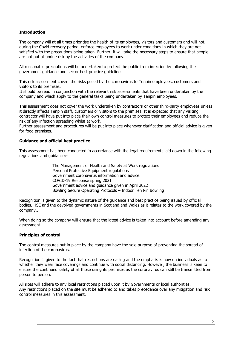# **Introduction**

The company will at all times prioritise the health of its employees, visitors and customers and will not, during the Covid recovery period, enforce employees to work under conditions in which they are not satisfied with the precautions being taken. Further, it will take the necessary steps to ensure that people are not put at undue risk by the activities of the company.

All reasonable precautions will be undertaken to protect the public from infection by following the government guidance and sector best practice guidelines

This risk assessment covers the risks posed by the coronavirus to Tenpin employees, customers and visitors to its premises.

It should be read in conjunction with the relevant risk assessments that have been undertaken by the company and which apply to the general tasks being undertaken by Tenpin employees.

This assessment does not cover the work undertaken by contractors or other third-party employees unless it directly affects Tenpin staff, customers or visitors to the premises. It is expected that any visiting contractor will have put into place their own control measures to protect their employees and reduce the risk of any infection spreading whilst at work.

Further assessment and procedures will be put into place whenever clarification and official advice is given for food premises.

#### **Guidance and official best practice**

This assessment has been conducted in accordance with the legal requirements laid down in the following regulations and guidance:-

> The Management of Health and Safety at Work regulations Personal Protective Equipment regulations Government coronavirus information and advice. COVID-19 Response spring 2021 Government advice and guidance given in April 2022 Bowling Secure Operating Protocols – Indoor Ten Pin Bowling

Recognition is given to the dynamic nature of the guidance and best practice being issued by official bodies. HSE and the devolved governments in Scotland and Wales as it relates to the work covered by the company..

When doing so the company will ensure that the latest advice is taken into account before amending any assessment.

#### **Principles of control**

The control measures put in place by the company have the sole purpose of preventing the spread of infection of the coronavirus.

Recognition is given to the fact that restrictions are easing and the emphasis is now on individuals as to whether they wear face coverings and continue with social distancing. However, the business is keen to ensure the continued safety of all those using its premises as the coronavirus can still be transmitted from person to person.

All sites will adhere to any local restrictions placed upon it by Governments or local authorities. Any restrictions placed on the site must be adhered to and takes precedence over any mitigation and risk control measures in this assessment.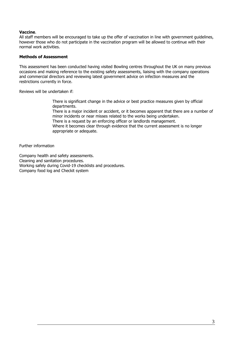## **Vaccine**.

All staff members will be encouraged to take up the offer of vaccination in line with government guidelines, however those who do not participate in the vaccination program will be allowed to continue with their normal work activities.

## **Methods of Assessment**

This assessment has been conducted having visited Bowling centres throughout the UK on many previous occasions and making reference to the existing safety assessments, liaising with the company operations and commercial directors and reviewing latest government advice on infection measures and the restrictions currently in force.

Reviews will be undertaken if:

There is significant change in the advice or best practice measures given by official departments.

There is a major incident or accident, or it becomes apparent that there are a number of minor incidents or near misses related to the works being undertaken.

There is a request by an enforcing officer or landlords management.

Where it becomes clear through evidence that the current assessment is no longer appropriate or adequate.

Further information

Company health and safety assessments. Cleaning and sanitation procedures. Working safely during Covid-19 checklists and procedures. Company food log and Checkit system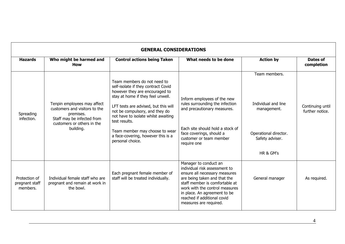| <b>GENERAL CONSIDERATIONS</b>               |                                                                                                                                                    |                                                                                                                                                                                                                                                                                                                                                                         |                                                                                                                                                                                                                                                                                      |                                                                                                              |                                     |  |
|---------------------------------------------|----------------------------------------------------------------------------------------------------------------------------------------------------|-------------------------------------------------------------------------------------------------------------------------------------------------------------------------------------------------------------------------------------------------------------------------------------------------------------------------------------------------------------------------|--------------------------------------------------------------------------------------------------------------------------------------------------------------------------------------------------------------------------------------------------------------------------------------|--------------------------------------------------------------------------------------------------------------|-------------------------------------|--|
| Hazards                                     | Who might be harmed and<br><b>How</b>                                                                                                              | <b>Control actions being Taken</b>                                                                                                                                                                                                                                                                                                                                      | What needs to be done                                                                                                                                                                                                                                                                | <b>Action by</b>                                                                                             | Dates of<br>completion              |  |
| Spreading<br>infection.                     | Tenpin employees may affect<br>customers and visitors to the<br>premises.<br>Staff may be infected from<br>customers or others in the<br>building. | Team members do not need to<br>self-isolate if they contract Covid<br>however they are encouraged to<br>stay at home if they feel unwell.<br>LFT tests are advised, but this will<br>not be compulsory, and they do<br>not have to isolate whilst awaiting<br>test results.<br>Team member may choose to wear<br>a face-covering, however this is a<br>personal choice. | Inform employees of the new<br>rules surrounding the infection<br>and precautionary measures.<br>Each site should hold a stock of<br>face coverings, should a<br>customer or team member<br>require one                                                                              | Team members.<br>Individual and line<br>management.<br>Operational director.<br>Safety adviser.<br>HR & GM's | Continuing until<br>further notice. |  |
| Protection of<br>pregnant staff<br>members. | Individual female staff who are<br>pregnant and remain at work in<br>the bowl.                                                                     | Each pregnant female member of<br>staff will be treated individually.                                                                                                                                                                                                                                                                                                   | Manager to conduct an<br>individual risk assessment to<br>ensure all necessary measures<br>are being taken and that the<br>staff member is comfortable at<br>work with the control measures<br>in place. An agreement to be<br>reached if additional covid<br>measures are required. | General manager                                                                                              | As required.                        |  |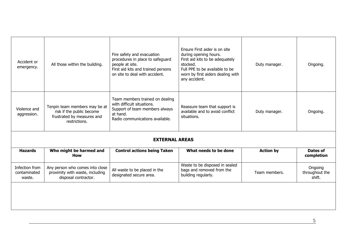| Accident or<br>emergency.                | All those within the building.                                                                            | Fire safety and evacuation<br>procedures in place to safeguard<br>people at site.<br>First aid kits and trained persons<br>on site to deal with accident. | Ensure First aider is on site<br>during opening hours.<br>First aid kits to be adequately<br>stocked.<br>Full PPE to be available to be<br>worn by first aiders dealing with<br>any accident. | Duty manager.    | Ongoing.                            |
|------------------------------------------|-----------------------------------------------------------------------------------------------------------|-----------------------------------------------------------------------------------------------------------------------------------------------------------|-----------------------------------------------------------------------------------------------------------------------------------------------------------------------------------------------|------------------|-------------------------------------|
| Violence and<br>aggression.              | Tenpin team members may be at<br>risk if the public become<br>frustrated by measures and<br>restrictions. | Team members trained on dealing<br>with difficult situations.<br>Support of team members always<br>at hand.<br>Radio communications available.            | Reassure team that support is<br>available and to avoid conflict<br>situations.                                                                                                               | Duty manager.    | Ongoing.                            |
|                                          |                                                                                                           | <b>EXTERNAL AREAS</b>                                                                                                                                     |                                                                                                                                                                                               |                  |                                     |
| <b>Hazards</b>                           | Who might be harmed and<br><b>How</b>                                                                     | <b>Control actions being Taken</b>                                                                                                                        | What needs to be done                                                                                                                                                                         | <b>Action by</b> | Dates of<br>completion              |
| Infection from<br>contaminated<br>waste. | Any person who comes into close<br>proximity with waste, including<br>disposal contractor.                | All waste to be placed in the<br>designated secure area.                                                                                                  | Waste to be disposed in sealed<br>bags and removed from the<br>building regularly.                                                                                                            | Team members.    | Ongoing<br>throughout the<br>shift. |
|                                          |                                                                                                           |                                                                                                                                                           |                                                                                                                                                                                               |                  |                                     |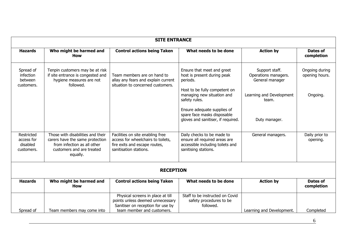| <b>SITE ENTRANCE</b>                               |                                                                                                                                              |                                                                                                                                          |                                                                                                                                                                                      |                                                                                                |                                              |  |  |  |
|----------------------------------------------------|----------------------------------------------------------------------------------------------------------------------------------------------|------------------------------------------------------------------------------------------------------------------------------------------|--------------------------------------------------------------------------------------------------------------------------------------------------------------------------------------|------------------------------------------------------------------------------------------------|----------------------------------------------|--|--|--|
| <b>Hazards</b>                                     | Who might be harmed and<br><b>How</b>                                                                                                        | <b>Control actions being Taken</b>                                                                                                       | What needs to be done                                                                                                                                                                | <b>Action by</b>                                                                               | Dates of<br>completion                       |  |  |  |
| Spread of<br>infection<br>between<br>customers.    | Tenpin customers may be at risk<br>if site entrance is congested and<br>hygiene measures are not<br>followed.                                | Team members are on hand to<br>allay any fears and explain current<br>situation to concerned customers.                                  | Ensure that meet and greet<br>host is present during peak<br>periods.<br>Host to be fully competent on<br>managing new situation and<br>safety rules.<br>Ensure adequate supplies of | Support staff.<br>Operations managers.<br>General manager<br>Learning and Development<br>team. | Ongoing during<br>opening hours.<br>Ongoing. |  |  |  |
|                                                    |                                                                                                                                              |                                                                                                                                          | spare face masks disposable<br>gloves and sanitiser, if required.                                                                                                                    | Duty manager.                                                                                  |                                              |  |  |  |
| Restricted<br>access for<br>disabled<br>customers. | Those with disabilities and their<br>carers have the same protection<br>from infection as all other<br>customers and are treated<br>equally. | Facilities on site enabling free<br>access for wheelchairs to toilets,<br>fire exits and escape routes,<br>sanitisation stations.        | Daily checks to be made to<br>ensure all required areas are<br>accessible including toilets and<br>sanitising stations.                                                              | General managers.                                                                              | Daily prior to<br>opening.                   |  |  |  |
|                                                    | <b>RECEPTION</b>                                                                                                                             |                                                                                                                                          |                                                                                                                                                                                      |                                                                                                |                                              |  |  |  |
| <b>Hazards</b>                                     | Who might be harmed and<br><b>How</b>                                                                                                        | <b>Control actions being Taken</b>                                                                                                       | What needs to be done                                                                                                                                                                | <b>Action by</b>                                                                               | Dates of<br>completion                       |  |  |  |
| Spread of                                          | Team members may come into                                                                                                                   | Physical screens in place at till<br>points unless deemed unnecessary<br>Sanitiser on reception for use by<br>team member and customers. | Staff to be instructed on Covid<br>safety procedures to be<br>followed.                                                                                                              | Learning and Development.                                                                      | Completed                                    |  |  |  |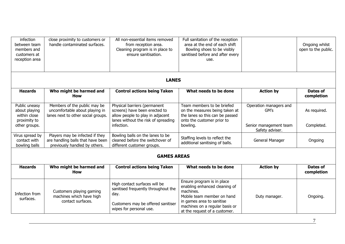| infection<br>between team<br>members and<br>customers at<br>reception area | close proximity to customers or<br>handle contaminated surfaces.                                      | All non-essential items removed<br>from reception area.<br>Cleaning program is in place to<br>ensure sanitisation.                            | Full sanitation of the reception<br>area at the end of each shift<br>Bowling shoes to be visibly<br>sanitised before and after every<br>use.                                                           |                                           | Ongoing whilst<br>open to the public. |  |  |  |  |
|----------------------------------------------------------------------------|-------------------------------------------------------------------------------------------------------|-----------------------------------------------------------------------------------------------------------------------------------------------|--------------------------------------------------------------------------------------------------------------------------------------------------------------------------------------------------------|-------------------------------------------|---------------------------------------|--|--|--|--|
|                                                                            | <b>LANES</b>                                                                                          |                                                                                                                                               |                                                                                                                                                                                                        |                                           |                                       |  |  |  |  |
| <b>Hazards</b>                                                             | Who might be harmed and<br><b>How</b>                                                                 | <b>Control actions being Taken</b>                                                                                                            | What needs to be done                                                                                                                                                                                  | <b>Action by</b>                          | Dates of<br>completion                |  |  |  |  |
| Public uneasy<br>about playing<br>within close<br>proximity to             | Members of the public may be<br>uncomfortable about playing in<br>lanes next to other social groups.  | Physical barriers (permanent<br>screens) have been erected to<br>allow people to play in adjacent<br>lanes without the risk of spreading      | Team members to be briefed<br>on the measures being taken at<br>the lanes so this can be passed<br>onto the customer prior to                                                                          | Operation managers and<br>GM's            | As required.                          |  |  |  |  |
| other groups.                                                              |                                                                                                       | infection.                                                                                                                                    | bowling.                                                                                                                                                                                               | Senior management team<br>Safety adviser. | Completed.                            |  |  |  |  |
| Virus spread by<br>contact with<br>bowling balls                           | Players may be infected if they<br>are handling balls that have been<br>previously handled by others. | Bowling balls on the lanes to be<br>cleaned before the switchover of<br>different customer groups.                                            | Staffing levels to reflect the<br>additional sanitising of balls.                                                                                                                                      | General Manager                           | Ongoing                               |  |  |  |  |
|                                                                            | <b>GAMES AREAS</b>                                                                                    |                                                                                                                                               |                                                                                                                                                                                                        |                                           |                                       |  |  |  |  |
| <b>Hazards</b>                                                             | Who might be harmed and<br><b>How</b>                                                                 | <b>Control actions being Taken</b>                                                                                                            | What needs to be done                                                                                                                                                                                  | <b>Action by</b>                          | Dates of<br>completion                |  |  |  |  |
| Infection from<br>surfaces.                                                | Customers playing gaming<br>machines which have high<br>contact surfaces.                             | High contact surfaces will be<br>sanitised frequently throughout the<br>day.<br>Customers may be offered sanitiser<br>wipes for personal use. | Ensure program is in place<br>enabling enhanced cleaning of<br>machines.<br>Mobile team member on hand<br>in games area to sanitise<br>machines on a regular basis or<br>at the request of a customer. | Duty manager.                             | Ongoing.                              |  |  |  |  |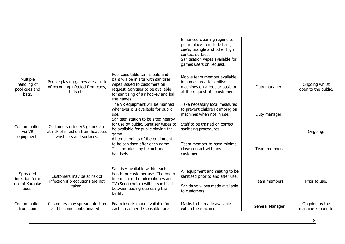|                                                        |                                                                                                |                                                                                                                                                                                                                                                                                                                                       | Enhanced cleaning regime to<br>put in place to include balls,<br>cue's, triangle and other high<br>contact surfaces.<br>Sanitisation wipes available for<br>games users on request.                                             |                               |                                       |
|--------------------------------------------------------|------------------------------------------------------------------------------------------------|---------------------------------------------------------------------------------------------------------------------------------------------------------------------------------------------------------------------------------------------------------------------------------------------------------------------------------------|---------------------------------------------------------------------------------------------------------------------------------------------------------------------------------------------------------------------------------|-------------------------------|---------------------------------------|
| Multiple<br>handling of<br>pool cues and<br>bats.      | People playing games are at risk<br>of becoming infected from cues,<br>bats etc.               | Pool cues table tennis bats and<br>balls will be in situ with sanitiser<br>wipes issued to customers on<br>request. Sanitiser to be available<br>for sanitising of air hockey and ball<br>use games.                                                                                                                                  | Mobile team member available<br>in games area to sanitise<br>machines on a regular basis or<br>at the request of a customer.                                                                                                    | Duty manager.                 | Ongoing whilst<br>open to the public. |
| Contamination<br>via VR<br>equipment.                  | Customers using VR games are<br>at risk of infection from headsets<br>wrist sets and surfaces. | The VR equipment will be manned<br>whenever it is available for public<br>use.<br>Sanitiser station to be sited nearby<br>for use by public. Sanitiser wipes to<br>be available for public playing the<br>game.<br>All touch points of the equipment<br>to be sanitised after each game.<br>This includes any helmet and<br>handsets. | Take necessary local measures<br>to prevent children climbing on<br>machines when not in use.<br>Staff to be trained on correct<br>sanitising procedures.<br>Team member to have minimal<br>close contact with any<br>customer. | Duty manager.<br>Team member. | Ongoing.                              |
| Spread of<br>infection form<br>use of Karaoke<br>pods. | Customers may be at risk of<br>infection if precautions are not<br>taken.                      | Sanitiser available within each<br>booth for customer use. The booth<br>in particular the microphones and<br>TV (Song choice) will be sanitised<br>between each group using the<br>facility.                                                                                                                                          | All equipment and seating to be<br>sanitised prior to and after use.<br>Sanitising wipes made available<br>to customers.                                                                                                        | Team members                  | Prior to use.                         |
| Contamination<br>from coin                             | Customers may spread infection<br>and become contaminated if                                   | Foam inserts made available for<br>each customer. Disposable face                                                                                                                                                                                                                                                                     | Masks to be made available<br>within the machine.                                                                                                                                                                               | General Manager               | Ongoing as the<br>machine is open to  |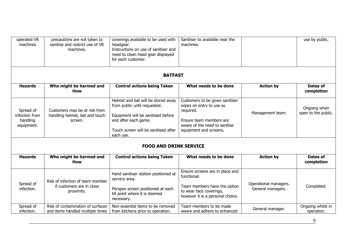| operated VR<br>machines                               | precautions are not taken to<br>sanitise and restrict use of VR<br>machines. | coverings available to be used with<br>headgear.<br>Instructions on use of sanitiser and<br>need to clean head gear displayed<br>for each customer.                                   | Sanitiser to available near the<br>machines.                                                                                                                   |                                            | use by public.                      |
|-------------------------------------------------------|------------------------------------------------------------------------------|---------------------------------------------------------------------------------------------------------------------------------------------------------------------------------------|----------------------------------------------------------------------------------------------------------------------------------------------------------------|--------------------------------------------|-------------------------------------|
|                                                       |                                                                              | <b>BATFAST</b>                                                                                                                                                                        |                                                                                                                                                                |                                            |                                     |
| <b>Hazards</b>                                        | Who might be harmed and<br><b>How</b>                                        | <b>Control actions being Taken</b>                                                                                                                                                    | What needs to be done                                                                                                                                          | <b>Action by</b>                           | Dates of<br>completion              |
| Spread of<br>infection from<br>handling<br>equipment. | Customers may be at risk from<br>handling helmet, bat and touch<br>screen.   | Helmet and bat will be stored away<br>from public until requested.<br>Equipment will be sanitised before<br>and after each game.<br>Touch screen will be sanitised after<br>each use. | Customers to be given sanitiser<br>wipes on entry to use as<br>required.<br>Ensure team members are<br>aware of the need to sanitise<br>equipment and screens. | Management team.                           | Ongoing when<br>open to the public. |
|                                                       |                                                                              | <b>FOOD AND DRINK SERVICE</b>                                                                                                                                                         |                                                                                                                                                                |                                            |                                     |
| <b>Hazards</b>                                        | Who might be harmed and<br>How                                               | <b>Control actions being Taken</b>                                                                                                                                                    | What needs to be done                                                                                                                                          | <b>Action by</b>                           | <b>Dates of</b><br>completion       |
| Spread of<br>infection.                               | Risk of infection of team member<br>if customers are in close<br>proximity.  | Hand sanitiser station positioned at<br>servery area.<br>Perspex screen positioned at each<br>till point where it is deemed<br>necessary.                                             | Ensure screens are in place and<br>functional.<br>Team members have the option<br>to wear face coverings,<br>however it is a personal choice.                  | Operational managers.<br>General managers. | Completed.                          |
| Spread of<br>infection.                               | Risk of contamination of surfaces<br>and items handled multiple times        | Non-essential items to be removed<br>from kitchens prior to operation.                                                                                                                | Team members to be made<br>aware and adhere to enhanced                                                                                                        | General manager.                           | Ongoing whilst in<br>operation.     |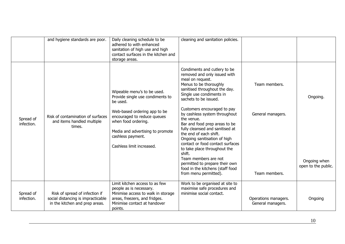|                         | and hygiene standards are poor.                                                                        | Daily cleaning schedule to be<br>adhered to with enhanced<br>sanitation of high use and high<br>contact surfaces in the kitchen and<br>storage areas.                                                                      | cleaning and sanitation policies.                                                                                                                                                                                                                                                                                                                                                                            |                                           |                                     |
|-------------------------|--------------------------------------------------------------------------------------------------------|----------------------------------------------------------------------------------------------------------------------------------------------------------------------------------------------------------------------------|--------------------------------------------------------------------------------------------------------------------------------------------------------------------------------------------------------------------------------------------------------------------------------------------------------------------------------------------------------------------------------------------------------------|-------------------------------------------|-------------------------------------|
| Spread of<br>infection. | Risk of contamination of surfaces<br>and items handled multiple<br>times.                              | Wipeable menu's to be used.<br>Provide single use condiments to<br>be used.<br>Web-based ordering app to be<br>encouraged to reduce queues<br>when food ordering.<br>Media and advertising to promote<br>cashless payment. | Condiments and cutlery to be<br>removed and only issued with<br>meal on request.<br>Menus to be thoroughly<br>sanitised throughout the day.<br>Single use condiments in<br>sachets to be issued.<br>Customers encouraged to pay<br>by cashless system throughout<br>the venue.<br>Bar and food prep areas to be<br>fully cleansed and sanitised at<br>the end of each shift.<br>Ongoing sanitisation of high | Team members.<br>General managers.        | Ongoing.                            |
|                         |                                                                                                        | Cashless limit increased.                                                                                                                                                                                                  | contact or food contact surfaces<br>to take place throughout the<br>shift.<br>Team members are not<br>permitted to prepare their own<br>food in the kitchens (staff food<br>from menu permitted).                                                                                                                                                                                                            | Team members.                             | Ongoing when<br>open to the public. |
| Spread of<br>infection. | Risk of spread of infection if<br>social distancing is impracticable<br>in the kitchen and prep areas. | Limit kitchen access to as few<br>people as is necessary.<br>Minimise access to walk in storage<br>areas, freezers, and fridges.<br>Minimise contact at handover<br>points.                                                | Work to be organised at site to<br>maximise safe procedures and<br>minimise social contact.                                                                                                                                                                                                                                                                                                                  | Operations managers.<br>General managers. | Ongoing                             |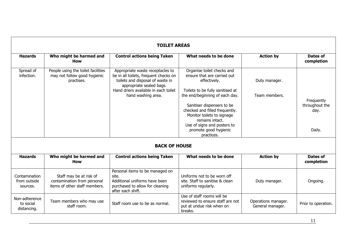| <b>TOILET AREAS</b>                       |                                                                                         |                                                                                                                                           |                                                                                                                                                                                                                                             |                                         |                                                |  |
|-------------------------------------------|-----------------------------------------------------------------------------------------|-------------------------------------------------------------------------------------------------------------------------------------------|---------------------------------------------------------------------------------------------------------------------------------------------------------------------------------------------------------------------------------------------|-----------------------------------------|------------------------------------------------|--|
| <b>Hazards</b>                            | Who might be harmed and<br><b>How</b>                                                   | <b>Control actions being Taken</b>                                                                                                        | What needs to be done                                                                                                                                                                                                                       | <b>Action by</b>                        | Dates of<br>completion                         |  |
| Spread of<br>infection.                   | People using the toilet facilities<br>may not follow good hygienic<br>practises.        | Appropriate waste receptacles to<br>be in all toilets, frequent checks on<br>toilets and disposal of waste in<br>appropriate sealed bags. | Organise toilet checks and<br>ensure that are carried out<br>effectively.                                                                                                                                                                   | Duty manager.                           |                                                |  |
|                                           |                                                                                         | Hand driers available in each toilet<br>hand washing area.                                                                                | Toilets to be fully sanitised at<br>the end/beginning of each day.<br>Sanitiser dispensers to be<br>checked and filled frequently.<br>Monitor toilets to signage<br>remains intact.<br>Use of signs and posters to<br>promote good hygienic | Team members.                           | Frequently<br>throughout the<br>day.<br>Daily. |  |
|                                           |                                                                                         | <b>BACK OF HOUSE</b>                                                                                                                      | practices.                                                                                                                                                                                                                                  |                                         |                                                |  |
| <b>Hazards</b>                            | Who might be harmed and<br><b>How</b>                                                   | <b>Control actions being Taken</b>                                                                                                        | What needs to be done                                                                                                                                                                                                                       | <b>Action by</b>                        | Dates of<br>completion                         |  |
| Contamination<br>from outside<br>sources. | Staff may be at risk of<br>contamination from personal<br>items of other staff members. | Personal items to be managed on<br>site.<br>Additional uniforms have been<br>purchased to allow for cleaning<br>after each shift.         | Uniforms not to be worn off<br>site. Staff to sanitise & clean<br>uniforms regularly.                                                                                                                                                       | Duty manager.                           | Ongoing.                                       |  |
| Non-adherence<br>to social<br>distancing. | Team members who may use<br>staff room.                                                 | Staff room use to be as normal.                                                                                                           | Use of staff rooms will be<br>reviewed to ensure staff are not<br>put at undue risk when on<br>breaks.                                                                                                                                      | Operations manager.<br>General manager. | Prior to operation.                            |  |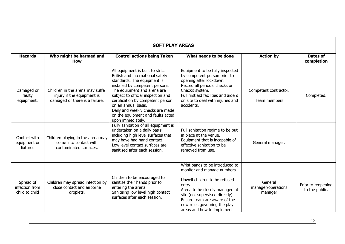| <b>SOFT PLAY AREAS</b>                        |                                                                                                  |                                                                                                                                                                                                                                                                                                                                                                       |                                                                                                                                                                                                                                                                             |                                          |                                      |  |
|-----------------------------------------------|--------------------------------------------------------------------------------------------------|-----------------------------------------------------------------------------------------------------------------------------------------------------------------------------------------------------------------------------------------------------------------------------------------------------------------------------------------------------------------------|-----------------------------------------------------------------------------------------------------------------------------------------------------------------------------------------------------------------------------------------------------------------------------|------------------------------------------|--------------------------------------|--|
| <b>Hazards</b>                                | Who might be harmed and<br><b>How</b>                                                            | <b>Control actions being Taken</b>                                                                                                                                                                                                                                                                                                                                    | What needs to be done                                                                                                                                                                                                                                                       | <b>Action by</b>                         | Dates of<br>completion               |  |
| Damaged or<br>faulty<br>equipment.            | Children in the arena may suffer<br>injury if the equipment is<br>damaged or there is a failure. | All equipment is built to strict<br>British and international safety<br>standards. The equipment is<br>installed by competent persons.<br>The equipment and arena are<br>subject to official inspection and<br>certification by competent person<br>on an annual basis.<br>Daily and weekly checks are made<br>on the equipment and faults acted<br>upon immediately. | Equipment to be fully inspected<br>by competent person prior to<br>opening after lockdown.<br>Record all periodic checks on<br>Checkit system.<br>Full first aid facilities and aiders<br>on site to deal with injuries and<br>accidents.                                   | Competent contractor.<br>Team members    | Completed.                           |  |
| Contact with<br>equipment or<br>fixtures      | Children playing in the arena may<br>come into contact with<br>contaminated surfaces.            | Fully sanitation of all equipment is<br>undertaken on a daily basis<br>including high level surfaces that<br>may have had hand contact.<br>Low level contact surfaces are<br>sanitised after each session.                                                                                                                                                            | Full sanitation regime to be put<br>in place at the venue.<br>Equipment that is incapable of<br>effective sanitation to be<br>removed from use.                                                                                                                             | General manager.                         |                                      |  |
| Spread of<br>infection from<br>child to child | Children may spread infection by<br>close contact and airborne<br>droplets.                      | Children to be encouraged to<br>sanitise their hands prior to<br>entering the arena.<br>Sanitising low level high contact<br>surfaces after each session.                                                                                                                                                                                                             | Wrist bands to be introduced to<br>monitor and manage numbers.<br>Unwell children to be refused<br>entry.<br>Arena to be closely managed at<br>site (not supervised directly)<br>Ensure team are aware of the<br>new rules governing the play<br>areas and how to implement | General<br>manager/operations<br>manager | Prior to reopening<br>to the public. |  |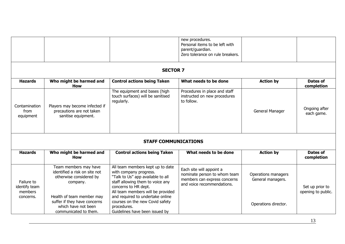|                                        |                                                                                                           |                                                                                                                                                                                                  | new procedures.<br>Personal items to be left with<br>parent/guardian.<br>Zero tolerance on rule breakers.              |                                          |                                       |
|----------------------------------------|-----------------------------------------------------------------------------------------------------------|--------------------------------------------------------------------------------------------------------------------------------------------------------------------------------------------------|------------------------------------------------------------------------------------------------------------------------|------------------------------------------|---------------------------------------|
|                                        |                                                                                                           | <b>SECTOR 7</b>                                                                                                                                                                                  |                                                                                                                        |                                          |                                       |
| <b>Hazards</b>                         | Who might be harmed and<br><b>How</b>                                                                     | <b>Control actions being Taken</b>                                                                                                                                                               | What needs to be done                                                                                                  | <b>Action by</b>                         | Dates of<br>completion                |
| Contamination<br>from<br>equipment     | Players may become infected if<br>precautions are not taken<br>sanitise equipment.                        | The equipment and bases (high<br>touch surfaces) will be sanitised<br>regularly.                                                                                                                 | Procedures in place and staff<br>instructed on new procedures<br>to follow.                                            | General Manager                          | Ongoing after<br>each game.           |
|                                        |                                                                                                           | <b>STAFF COMMUNICATIONS</b>                                                                                                                                                                      |                                                                                                                        |                                          |                                       |
| <b>Hazards</b>                         | Who might be harmed and<br>How                                                                            | <b>Control actions being Taken</b>                                                                                                                                                               | What needs to be done                                                                                                  | <b>Action by</b>                         | Dates of<br>completion                |
| Failure to<br>identify team<br>members | Team members may have<br>identified a risk on site not<br>otherwise considered by<br>company.             | All team members kept up to date<br>with company progress.<br>"Talk to Us" app available to all<br>staff allowing them to voice any<br>concerns to HR dept.<br>All team members will be provided | Each site will appoint a<br>nominate person to whom team<br>members can express concerns<br>and voice recommendations. | Operations managers<br>General managers. | Set up prior to<br>opening to public. |
| concerns.                              | Health of team member may<br>suffer if they have concerns<br>which have not been<br>communicated to them. | and required to undertake online<br>courses on the new Covid safety<br>procedures.<br>Guidelines have been issued by                                                                             |                                                                                                                        | Operations director.                     |                                       |